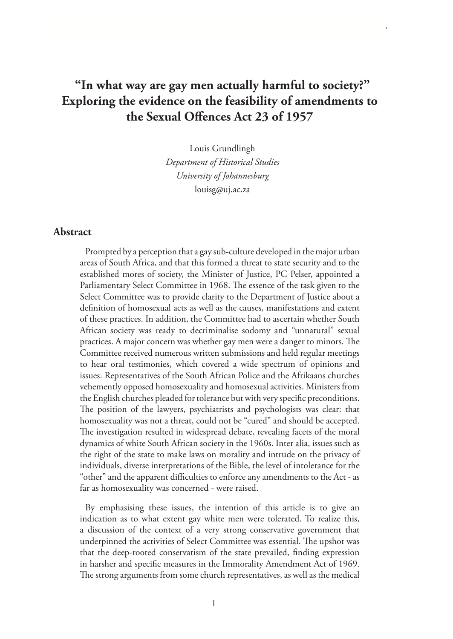# **"In what way are gay men actually harmful to society?" Exploring the evidence on the feasibility of amendments to the Sexual Offences Act 23 of 1957**

Louis Grundlingh *Department of Historical Studies University of Johannesburg* louisg@uj.ac.za

#### **Abstract**

Prompted by a perception that a gay sub-culture developed in the major urban areas of South Africa, and that this formed a threat to state security and to the established mores of society, the Minister of Justice, PC Pelser, appointed a Parliamentary Select Committee in 1968. The essence of the task given to the Select Committee was to provide clarity to the Department of Justice about a definition of homosexual acts as well as the causes, manifestations and extent of these practices. In addition, the Committee had to ascertain whether South African society was ready to decriminalise sodomy and "unnatural" sexual practices. A major concern was whether gay men were a danger to minors. The Committee received numerous written submissions and held regular meetings to hear oral testimonies, which covered a wide spectrum of opinions and issues. Representatives of the South African Police and the Afrikaans churches vehemently opposed homosexuality and homosexual activities. Ministers from the English churches pleaded for tolerance but with very specific preconditions. The position of the lawyers, psychiatrists and psychologists was clear: that homosexuality was not a threat, could not be "cured" and should be accepted. The investigation resulted in widespread debate, revealing facets of the moral dynamics of white South African society in the 1960s. Inter alia, issues such as the right of the state to make laws on morality and intrude on the privacy of individuals, diverse interpretations of the Bible, the level of intolerance for the "other" and the apparent difficulties to enforce any amendments to the Act - as far as homosexuality was concerned - were raised.

By emphasising these issues, the intention of this article is to give an indication as to what extent gay white men were tolerated. To realize this, a discussion of the context of a very strong conservative government that underpinned the activities of Select Committee was essential. The upshot was that the deep-rooted conservatism of the state prevailed, finding expression in harsher and specific measures in the Immorality Amendment Act of 1969. The strong arguments from some church representatives, as well as the medical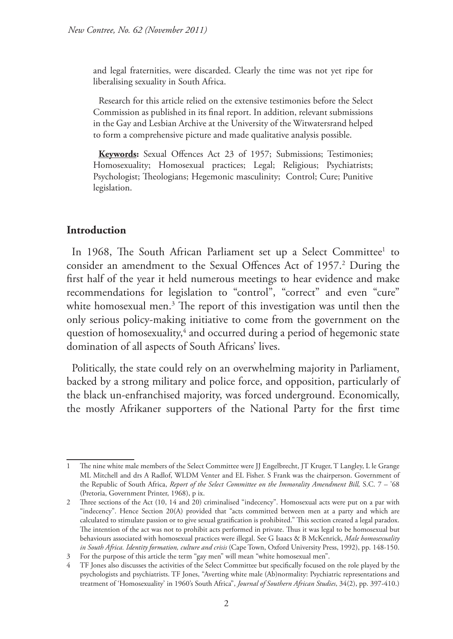and legal fraternities, were discarded. Clearly the time was not yet ripe for liberalising sexuality in South Africa.

Research for this article relied on the extensive testimonies before the Select Commission as published in its final report. In addition, relevant submissions in the Gay and Lesbian Archive at the University of the Witwatersrand helped to form a comprehensive picture and made qualitative analysis possible.

**Keywords:** Sexual Offences Act 23 of 1957; Submissions; Testimonies; Homosexuality; Homosexual practices; Legal; Religious; Psychiatrists; Psychologist; Theologians; Hegemonic masculinity; Control; Cure; Punitive legislation.

### **Introduction**

In 1968, The South African Parliament set up a Select Committee<sup>1</sup> to consider an amendment to the Sexual Offences Act of 1957.<sup>2</sup> During the first half of the year it held numerous meetings to hear evidence and make recommendations for legislation to "control", "correct" and even "cure" white homosexual men.<sup>3</sup> The report of this investigation was until then the only serious policy-making initiative to come from the government on the question of homosexuality, $\frac{4}{3}$  and occurred during a period of hegemonic state domination of all aspects of South Africans' lives.

Politically, the state could rely on an overwhelming majority in Parliament, backed by a strong military and police force, and opposition, particularly of the black un-enfranchised majority, was forced underground. Economically, the mostly Afrikaner supporters of the National Party for the first time

<sup>1</sup> The nine white male members of the Select Committee were JJ Engelbrecht, JT Kruger, T Langley, L le Grange ML Mitchell and drs A Radlof, WLDM Venter and EL Fisher. S Frank was the chairperson. Government of the Republic of South Africa, *Report of the Select Committee on the Immorality Amendment Bill,* S.C. 7 – '68 (Pretoria, Government Printer, 1968), p ix.

<sup>2</sup> Three sections of the Act (10, 14 and 20) criminalised "indecency". Homosexual acts were put on a par with "indecency". Hence Section 20(A) provided that "acts committed between men at a party and which are calculated to stimulate passion or to give sexual gratification is prohibited." This section created a legal paradox. The intention of the act was not to prohibit acts performed in private. Thus it was legal to be homosexual but behaviours associated with homosexual practices were illegal. See G Isaacs & B McKenrick, *Male homosexuality in South Africa. Identity formation, culture and crisis* (Cape Town, Oxford University Press, 1992), pp. 148-150.

<sup>3</sup> For the purpose of this article the term "gay men" will mean "white homosexual men".

<sup>4</sup> TF Jones also discusses the activities of the Select Committee but specifically focused on the role played by the psychologists and psychiatrists. TF Jones, "Averting white male (Ab)normality: Psychiatric representations and treatment of 'Homosexuality' in 1960's South Africa", *Journal of Southern African Studies*, 34(2), pp. 397-410.)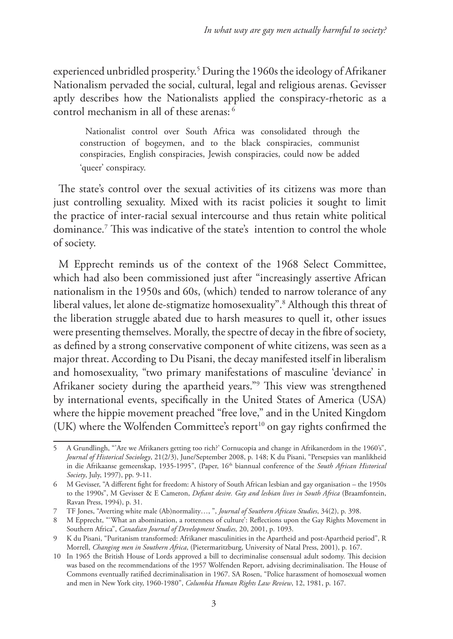experienced unbridled prosperity.5 During the 1960s the ideology of Afrikaner Nationalism pervaded the social, cultural, legal and religious arenas. Gevisser aptly describes how the Nationalists applied the conspiracy-rhetoric as a control mechanism in all of these arenas: 6

Nationalist control over South Africa was consolidated through the construction of bogeymen, and to the black conspiracies, communist conspiracies, English conspiracies, Jewish conspiracies, could now be added 'queer' conspiracy.

The state's control over the sexual activities of its citizens was more than just controlling sexuality. Mixed with its racist policies it sought to limit the practice of inter-racial sexual intercourse and thus retain white political dominance.7 This was indicative of the state's intention to control the whole of society.

M Epprecht reminds us of the context of the 1968 Select Committee, which had also been commissioned just after "increasingly assertive African nationalism in the 1950s and 60s, (which) tended to narrow tolerance of any liberal values, let alone de-stigmatize homosexuality".8 Although this threat of the liberation struggle abated due to harsh measures to quell it, other issues were presenting themselves. Morally, the spectre of decay in the fibre of society, as defined by a strong conservative component of white citizens, was seen as a major threat. According to Du Pisani, the decay manifested itself in liberalism and homosexuality, "two primary manifestations of masculine 'deviance' in Afrikaner society during the apartheid years."9 This view was strengthened by international events, specifically in the United States of America (USA) where the hippie movement preached "free love," and in the United Kingdom (UK) where the Wolfenden Committee's report<sup>10</sup> on gay rights confirmed the

<sup>5</sup> A Grundlingh, "'Are we Afrikaners getting too rich?' Cornucopia and change in Afrikanerdom in the 1960's", *Journal of Historical Sociology*, 21(2/3), June/September 2008, p. 148; K du Pisani, "Persepsies van manlikheid in die Afrikaanse gemeenskap, 1935-1995", (Paper, 16<sup>th</sup> biannual conference of the *South African Historical Society*, July, 1997), pp. 9-11.

<sup>6</sup> M Gevisser, "A different fight for freedom: A history of South African lesbian and gay organisation – the 1950s to the 1990s", M Gevisser & E Cameron, *Defiant desire. Gay and lesbian lives in South Africa* (Braamfontein, Ravan Press, 1994), p. 31.

<sup>7</sup> TF Jones, "Averting white male (Ab)normality…, ", *Journal of Southern African Studies*, 34(2), p. 398.

<sup>8</sup> M Epprecht, "'What an abomination, a rottenness of culture': Reflections upon the Gay Rights Movement in Southern Africa", *Canadian Journal of Development Studies,* 20, 2001, p. 1093.

<sup>9</sup> K du Pisani, "Puritanism transformed: Afrikaner masculinities in the Apartheid and post-Apartheid period", R Morrell, *Changing men in Southern Africa*, (Pietermaritzburg, University of Natal Press, 2001), p. 167.

<sup>10</sup> In 1965 the British House of Lords approved a bill to decriminalise consensual adult sodomy. This decision was based on the recommendations of the 1957 Wolfenden Report, advising decriminalisation. The House of Commons eventually ratified decriminalisation in 1967. SA Rosen, "Police harassment of homosexual women and men in New York city, 1960-1980", *Columbia Human Rights Law Review*, 12, 1981, p. 167.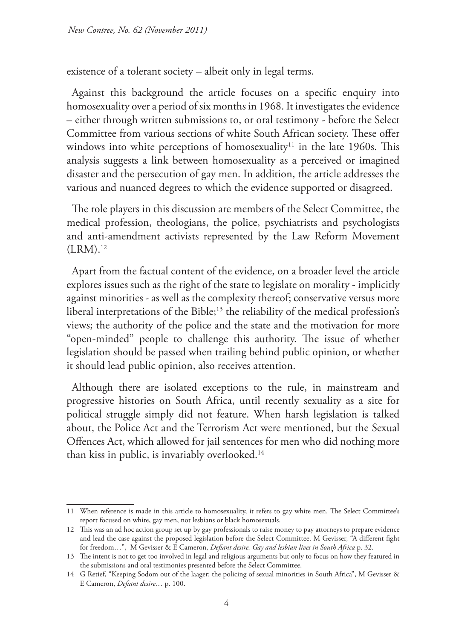existence of a tolerant society – albeit only in legal terms.

Against this background the article focuses on a specific enquiry into homosexuality over a period of six months in 1968. It investigates the evidence – either through written submissions to, or oral testimony - before the Select Committee from various sections of white South African society. These offer windows into white perceptions of homosexuality<sup>11</sup> in the late 1960s. This analysis suggests a link between homosexuality as a perceived or imagined disaster and the persecution of gay men. In addition, the article addresses the various and nuanced degrees to which the evidence supported or disagreed.

The role players in this discussion are members of the Select Committee, the medical profession, theologians, the police, psychiatrists and psychologists and anti-amendment activists represented by the Law Reform Movement  $(LRM).<sup>12</sup>$ 

Apart from the factual content of the evidence, on a broader level the article explores issues such as the right of the state to legislate on morality - implicitly against minorities - as well as the complexity thereof; conservative versus more liberal interpretations of the Bible;<sup>13</sup> the reliability of the medical profession's views; the authority of the police and the state and the motivation for more "open-minded" people to challenge this authority. The issue of whether legislation should be passed when trailing behind public opinion, or whether it should lead public opinion, also receives attention.

Although there are isolated exceptions to the rule, in mainstream and progressive histories on South Africa, until recently sexuality as a site for political struggle simply did not feature. When harsh legislation is talked about, the Police Act and the Terrorism Act were mentioned, but the Sexual Offences Act, which allowed for jail sentences for men who did nothing more than kiss in public, is invariably overlooked.<sup>14</sup>

<sup>11</sup> When reference is made in this article to homosexuality, it refers to gay white men. The Select Committee's report focused on white, gay men, not lesbians or black homosexuals.

<sup>12</sup> This was an ad hoc action group set up by gay professionals to raise money to pay attorneys to prepare evidence and lead the case against the proposed legislation before the Select Committee. M Gevisser, "A different fight for freedom…", M Gevisser & E Cameron, *Defiant desire. Gay and lesbian lives in South Africa* p. 32.

<sup>13</sup> The intent is not to get too involved in legal and religious arguments but only to focus on how they featured in the submissions and oral testimonies presented before the Select Committee.

<sup>14</sup> G Retief, "Keeping Sodom out of the laager: the policing of sexual minorities in South Africa", M Gevisser & E Cameron, *Defiant desire…* p. 100.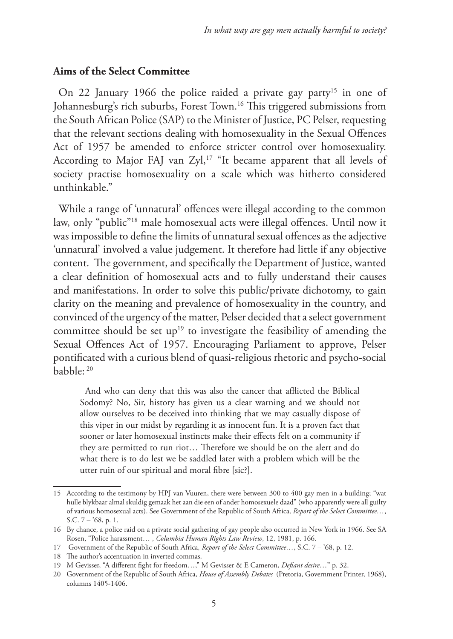#### **Aims of the Select Committee**

On 22 January 1966 the police raided a private gay party<sup>15</sup> in one of Johannesburg's rich suburbs, Forest Town.<sup>16</sup> This triggered submissions from the South African Police (SAP) to the Minister of Justice, PC Pelser, requesting that the relevant sections dealing with homosexuality in the Sexual Offences Act of 1957 be amended to enforce stricter control over homosexuality. According to Major FAJ van Zyl,<sup>17</sup> "It became apparent that all levels of society practise homosexuality on a scale which was hitherto considered unthinkable."

While a range of 'unnatural' offences were illegal according to the common law, only "public"18 male homosexual acts were illegal offences. Until now it was impossible to define the limits of unnatural sexual offences as the adjective 'unnatural' involved a value judgement. It therefore had little if any objective content. The government, and specifically the Department of Justice, wanted a clear definition of homosexual acts and to fully understand their causes and manifestations. In order to solve this public/private dichotomy, to gain clarity on the meaning and prevalence of homosexuality in the country, and convinced of the urgency of the matter, Pelser decided that a select government committee should be set  $up^{19}$  to investigate the feasibility of amending the Sexual Offences Act of 1957. Encouraging Parliament to approve, Pelser pontificated with a curious blend of quasi-religious rhetoric and psycho-social babble: 20

And who can deny that this was also the cancer that afflicted the Biblical Sodomy? No, Sir, history has given us a clear warning and we should not allow ourselves to be deceived into thinking that we may casually dispose of this viper in our midst by regarding it as innocent fun. It is a proven fact that sooner or later homosexual instincts make their effects felt on a community if they are permitted to run riot… Therefore we should be on the alert and do what there is to do lest we be saddled later with a problem which will be the utter ruin of our spiritual and moral fibre [sic?].

<sup>15</sup> According to the testimony by HPJ van Vuuren, there were between 300 to 400 gay men in a building; "wat hulle blykbaar almal skuldig gemaak het aan die een of ander homosexuele daad" (who apparently were all guilty of various homosexual acts). See Government of the Republic of South Africa*, Report of the Select Committee…*, S.C. 7 – '68, p. 1.

<sup>16</sup> By chance, a police raid on a private social gathering of gay people also occurred in New York in 1966. See SA Rosen, "Police harassment… , *Columbia Human Rights Law Review*, 12, 1981, p. 166.

<sup>17</sup> Government of the Republic of South Africa*, Report of the Select Committee…*, S.C. 7 – '68, p. 12.

<sup>18</sup> The author's accentuation in inverted commas.

<sup>19</sup> M Gevisser, "A different fight for freedom…," M Gevisser & E Cameron, *Defiant desire*…" p. 32.

<sup>20</sup> Government of the Republic of South Africa, *House of Assembly Debates* (Pretoria, Government Printer, 1968), columns 1405-1406.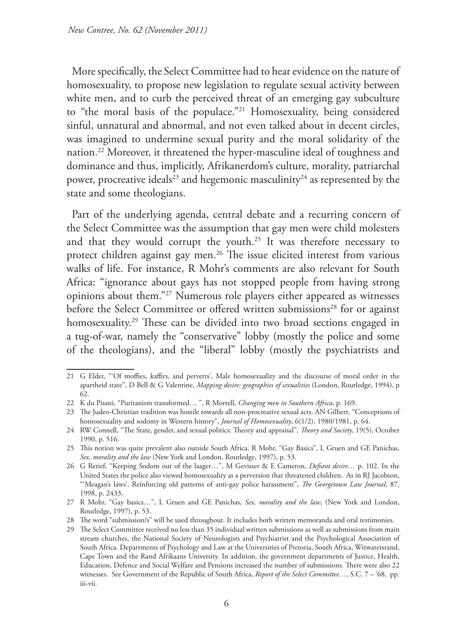More specifically, the Select Committee had to hear evidence on the nature of homosexuality, to propose new legislation to regulate sexual activity between white men, and to curb the perceived threat of an emerging gay subculture to "the moral basis of the populace."21 Homosexuality, being considered sinful, unnatural and abnormal, and not even talked about in decent circles, was imagined to undermine sexual purity and the moral solidarity of the nation.22 Moreover, it threatened the hyper-masculine ideal of toughness and dominance and thus, implicitly, Afrikanerdom's culture, morality, patriarchal power, procreative ideals<sup>23</sup> and hegemonic masculinity<sup>24</sup> as represented by the state and some theologians.

Part of the underlying agenda, central debate and a recurring concern of the Select Committee was the assumption that gay men were child molesters and that they would corrupt the youth.<sup>25</sup> It was therefore necessary to protect children against gay men.<sup>26</sup> The issue elicited interest from various walks of life. For instance, R Mohr's comments are also relevant for South Africa: "ignorance about gays has not stopped people from having strong opinions about them."27 Numerous role players either appeared as witnesses before the Select Committee or offered written submissions<sup>28</sup> for or against homosexuality.<sup>29</sup> These can be divided into two broad sections engaged in a tug-of-war, namely the "conservative" lobby (mostly the police and some of the theologians), and the "liberal" lobby (mostly the psychiatrists and

<sup>21</sup> G Elder, "'Of moffies, kaffirs, and perverts', Male homosexuality and the discourse of moral order in the apartheid state", D Bell & G Valentine, *Mapping desire: geographies of sexualities* (London, Routledge, 1994), p 62.

<sup>22</sup> K du Pisani, "Puritanism transformed… ", R Morrell, *Changing men in Southern Africa*, p. 169.

<sup>23</sup> The Judeo-Christian tradition was hostile towards all non-procreative sexual acts. AN Gilbert, "Conceptions of homosexuality and sodomy in Western history", *Journal of Homosexuality*, 6(1/2), 1980/1981, p. 64.

<sup>24</sup> RW Connell, "The State, gender, and sexual politics: Theory and appraisal", *Theory and Society*, 19(5), October 1990, p. 516.

<sup>25</sup> This notion was quite prevalent also outside South Africa. R Mohr, "Gay Basics", L Gruen and GE Panichas, *Sex, morality and the law* (New York and London, Routledge, 1997), p. 53.

<sup>26</sup> G Retief, "Keeping Sodom out of the laager…", M Gevisser & E Cameron, *Defiant desire…* p. 102. In the United States the police also viewed homosexuality as a perversion that threatened children. As in RJ Jacobson, "'Meagan's laws', Reinforcing old patterns of anti-gay police harassment", *The Georgetown Law Journal*, 87, 1998, p. 2433.

<sup>27</sup> R Mohr, "Gay basics…", L Gruen and GE Panichas, *Sex, morality and the law*, (New York and London, Routledge, 1997), p. 53.

<sup>28</sup> The word "submission/s" will be used throughout. It includes both written memoranda and oral testimonies.

<sup>29</sup> The Select Committee received no less than 35 individual written submissions as well as submissions from main stream churches, the National Society of Neurologists and Psychiatrist and the Psychological Association of South Africa. Departments of Psychology and Law at the Universities of Pretoria, South Africa, Witwatersrand, Cape Town and the Rand Afrikaans University. In addition, the government departments of Justice, Health, Education, Defence and Social Welfare and Pensions increased the number of submissions. There were also 22 witnesses. See Government of the Republic of South Africa, *Report of the Select Committee…*, S.C. 7 – '68, pp. iii-vii.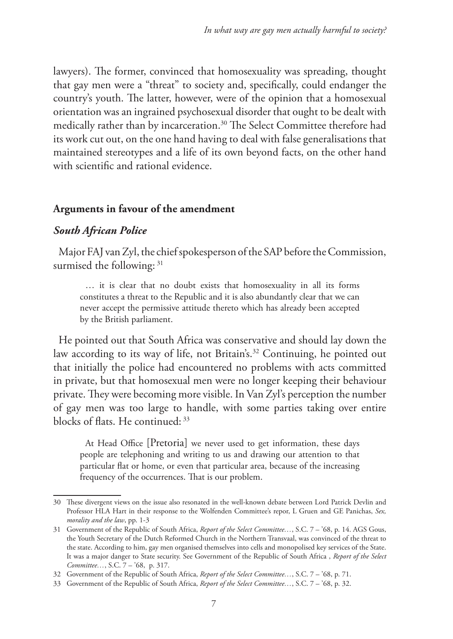lawyers). The former, convinced that homosexuality was spreading, thought that gay men were a "threat" to society and, specifically, could endanger the country's youth. The latter, however, were of the opinion that a homosexual orientation was an ingrained psychosexual disorder that ought to be dealt with medically rather than by incarceration.<sup>30</sup> The Select Committee therefore had its work cut out, on the one hand having to deal with false generalisations that maintained stereotypes and a life of its own beyond facts, on the other hand with scientific and rational evidence.

## **Arguments in favour of the amendment**

# *South African Police*

Major FAJ van Zyl, the chief spokesperson of the SAP before the Commission, surmised the following: 31

… it is clear that no doubt exists that homosexuality in all its forms constitutes a threat to the Republic and it is also abundantly clear that we can never accept the permissive attitude thereto which has already been accepted by the British parliament.

He pointed out that South Africa was conservative and should lay down the law according to its way of life, not Britain's.<sup>32</sup> Continuing, he pointed out that initially the police had encountered no problems with acts committed in private, but that homosexual men were no longer keeping their behaviour private. They were becoming more visible. In Van Zyl's perception the number of gay men was too large to handle, with some parties taking over entire blocks of flats. He continued: 33

At Head Office [Pretoria] we never used to get information, these days people are telephoning and writing to us and drawing our attention to that particular flat or home, or even that particular area, because of the increasing frequency of the occurrences. That is our problem.

<sup>30</sup> These divergent views on the issue also resonated in the well-known debate between Lord Patrick Devlin and Professor HLA Hart in their response to the Wolfenden Committee's repor, L Gruen and GE Panichas, *Sex, morality and the law*, pp. 1-3

<sup>31</sup> Government of the Republic of South Africa, *Report of the Select Committee…*, S.C. 7 – '68, p. 14. AGS Gous, the Youth Secretary of the Dutch Reformed Church in the Northern Transvaal, was convinced of the threat to the state. According to him, gay men organised themselves into cells and monopolised key services of the State. It was a major danger to State security. See Government of the Republic of South Africa , *Report of the Select Committee…*, S.C. 7 – '68, p. 317.

<sup>32</sup> Government of the Republic of South Africa, *Report of the Select Committee…*, S.C. 7 – '68, p. 71.

<sup>33</sup> Government of the Republic of South Africa, *Report of the Select Committee…*, S.C. 7 – '68, p. 32.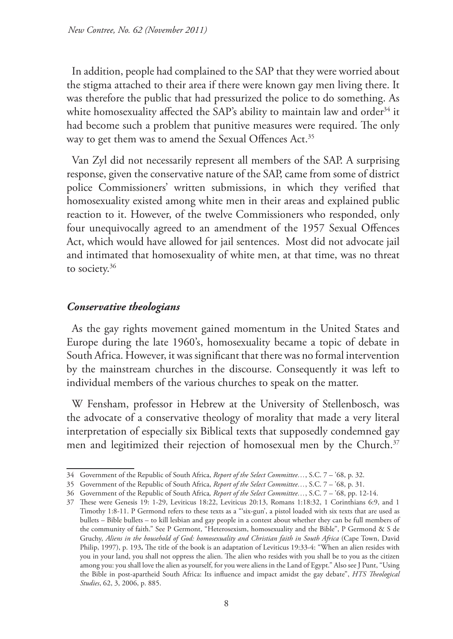In addition, people had complained to the SAP that they were worried about the stigma attached to their area if there were known gay men living there. It was therefore the public that had pressurized the police to do something. As white homosexuality affected the SAP's ability to maintain law and order<sup>34</sup> it had become such a problem that punitive measures were required. The only way to get them was to amend the Sexual Offences Act.<sup>35</sup>

Van Zyl did not necessarily represent all members of the SAP. A surprising response, given the conservative nature of the SAP, came from some of district police Commissioners' written submissions, in which they verified that homosexuality existed among white men in their areas and explained public reaction to it. However, of the twelve Commissioners who responded, only four unequivocally agreed to an amendment of the 1957 Sexual Offences Act, which would have allowed for jail sentences. Most did not advocate jail and intimated that homosexuality of white men, at that time, was no threat to society.<sup>36</sup>

### *Conservative theologians*

As the gay rights movement gained momentum in the United States and Europe during the late 1960's, homosexuality became a topic of debate in South Africa. However, it was significant that there was no formal intervention by the mainstream churches in the discourse. Consequently it was left to individual members of the various churches to speak on the matter.

W Fensham, professor in Hebrew at the University of Stellenbosch, was the advocate of a conservative theology of morality that made a very literal interpretation of especially six Biblical texts that supposedly condemned gay men and legitimized their rejection of homosexual men by the Church.<sup>37</sup>

<sup>34</sup> Government of the Republic of South Africa, *Report of the Select Committee…*, S.C. 7 – '68, p. 32.

<sup>35</sup> Government of the Republic of South Africa, *Report of the Select Committee…*, S.C. 7 – '68, p. 31.

<sup>36</sup> Government of the Republic of South Africa*, Report of the Select Committee…*, S.C. 7 – '68, pp. 12-14.

<sup>37</sup> These were Genesis 19: 1-29, Leviticus 18:22, Leviticus 20:13, Romans 1:18:32, 1 Corinthians 6:9, and 1 Timothy 1:8-11. P Germond refers to these texts as a "'six-gun', a pistol loaded with six texts that are used as bullets – Bible bullets – to kill lesbian and gay people in a contest about whether they can be full members of the community of faith." See P Germont, "Heterosexism, homosexuality and the Bible", P Germond & S de Gruchy, *Aliens in the household of God: homosexuality and Christian faith in South Africa* (Cape Town, David Philip, 1997), p. 193**.** The title of the book is an adaptation of Leviticus 19:33-4: "When an alien resides with you in your land, you shall not oppress the alien. The alien who resides with you shall be to you as the citizen among you: you shall love the alien as yourself, for you were aliens in the Land of Egypt." Also see J Punt, "Using the Bible in post-apartheid South Africa: Its influence and impact amidst the gay debate", *HTS Theological Studies*, 62, 3, 2006, p. 885.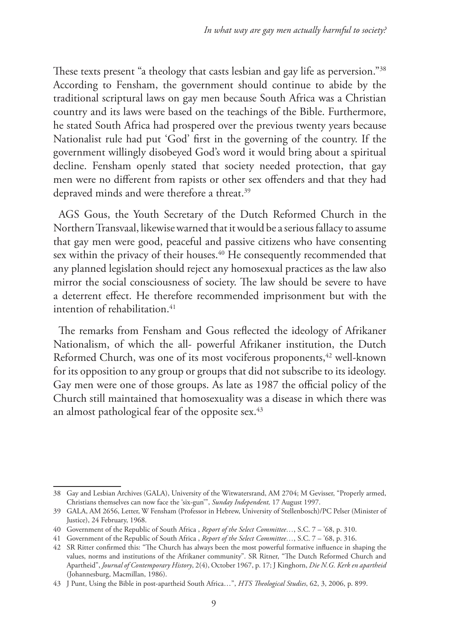These texts present "a theology that casts lesbian and gay life as perversion."38 According to Fensham, the government should continue to abide by the traditional scriptural laws on gay men because South Africa was a Christian country and its laws were based on the teachings of the Bible. Furthermore, he stated South Africa had prospered over the previous twenty years because Nationalist rule had put 'God' first in the governing of the country. If the government willingly disobeyed God's word it would bring about a spiritual decline. Fensham openly stated that society needed protection, that gay men were no different from rapists or other sex offenders and that they had depraved minds and were therefore a threat.<sup>39</sup>

AGS Gous, the Youth Secretary of the Dutch Reformed Church in the Northern Transvaal, likewise warned that it would be a serious fallacy to assume that gay men were good, peaceful and passive citizens who have consenting sex within the privacy of their houses.<sup>40</sup> He consequently recommended that any planned legislation should reject any homosexual practices as the law also mirror the social consciousness of society. The law should be severe to have a deterrent effect. He therefore recommended imprisonment but with the intention of rehabilitation. $41$ 

The remarks from Fensham and Gous reflected the ideology of Afrikaner Nationalism, of which the all- powerful Afrikaner institution, the Dutch Reformed Church, was one of its most vociferous proponents,<sup>42</sup> well-known for its opposition to any group or groups that did not subscribe to its ideology. Gay men were one of those groups. As late as 1987 the official policy of the Church still maintained that homosexuality was a disease in which there was an almost pathological fear of the opposite sex. $43$ 

<sup>38</sup> Gay and Lesbian Archives (GALA), University of the Witwatersrand, AM 2704; M Gevisser, "Properly armed, Christians themselves can now face the 'six-gun'", *Sunday Independent,* 17 August 1997.

<sup>39</sup> GALA, AM 2656, Letter, W Fensham (Professor in Hebrew, University of Stellenbosch)/PC Pelser (Minister of Justice), 24 February, 1968.

<sup>40</sup> Government of the Republic of South Africa , *Report of the Select Committee…*, S.C. 7 – '68, p. 310.

<sup>41</sup> Government of the Republic of South Africa , *Report of the Select Committee…*, S.C. 7 – '68, p. 316.

<sup>42</sup> SR Ritter confirmed this: "The Church has always been the most powerful formative influence in shaping the values, norms and institutions of the Afrikaner community". SR Ritner, "The Dutch Reformed Church and Apartheid", *Journal of Contemporary History*, 2(4), October 1967, p. 17; J Kinghorn, *Die N.G. Kerk en apartheid*  (Johannesburg, Macmillan, 1986).

<sup>43</sup> J Punt, Using the Bible in post-apartheid South Africa…", *HTS Theological Studies*, 62, 3, 2006, p. 899.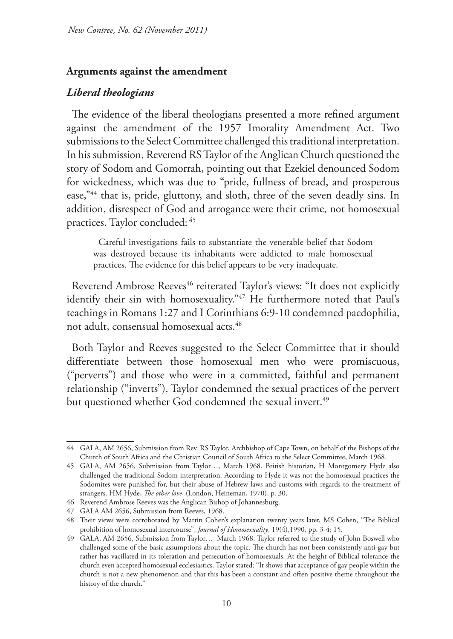#### **Arguments against the amendment**

#### *Liberal theologians*

The evidence of the liberal theologians presented a more refined argument against the amendment of the 1957 Imorality Amendment Act. Two submissions to the Select Committee challenged this traditional interpretation. In his submission, Reverend RS Taylor of the Anglican Church questioned the story of Sodom and Gomorrah, pointing out that Ezekiel denounced Sodom for wickedness, which was due to "pride, fullness of bread, and prosperous ease,"<sup>44</sup> that is, pride, gluttony, and sloth, three of the seven deadly sins. In addition, disrespect of God and arrogance were their crime, not homosexual practices. Taylor concluded: 45

Careful investigations fails to substantiate the venerable belief that Sodom was destroyed because its inhabitants were addicted to male homosexual practices. The evidence for this belief appears to be very inadequate.

Reverend Ambrose Reeves<sup>46</sup> reiterated Taylor's views: "It does not explicitly identify their sin with homosexuality."47 He furthermore noted that Paul's teachings in Romans 1:27 and I Corinthians 6:9-10 condemned paedophilia, not adult, consensual homosexual acts.<sup>48</sup>

Both Taylor and Reeves suggested to the Select Committee that it should differentiate between those homosexual men who were promiscuous, ("perverts") and those who were in a committed, faithful and permanent relationship ("inverts"). Taylor condemned the sexual practices of the pervert but questioned whether God condemned the sexual invert.<sup>49</sup>

<sup>44</sup> GALA, AM 2656, Submission from Rev. RS Taylor, Archbishop of Cape Town, on behalf of the Bishops of the Church of South Africa and the Christian Council of South Africa to the Select Committee, March 1968.

<sup>45</sup> GALA, AM 2656, Submission from Taylor…, March 1968. British historian, H Montgomery Hyde also challenged the traditional Sodom interpretation. According to Hyde it was not the homosexual practices the Sodomites were punished for, but their abuse of Hebrew laws and customs with regards to the treatment of strangers. HM Hyde, *The other love*, (London, Heineman, 1970), p. 30.

<sup>46</sup> Reverend Ambrose Reeves was the Anglican Bishop of Johannesburg.

<sup>47</sup> GALA AM 2656, Submission from Reeves, 1968.

<sup>48</sup> Their views were corroborated by Martin Cohen's explanation twenty years later, MS Cohen, "The Biblical prohibition of homosexual intercourse", *Journal of Homosexuality*, 19(4),1990, pp. 3-4; 15.

<sup>49</sup> GALA, AM 2656, Submission from Taylor…, March 1968. Taylor referred to the study of John Boswell who challenged some of the basic assumptions about the topic. The church has not been consistently anti-gay but rather has vacillated in its toleration and persecution of homosexuals. At the height of Biblical tolerance the church even accepted homosexual ecclesiastics. Taylor stated: "It shows that acceptance of gay people within the church is not a new phenomenon and that this has been a constant and often positive theme throughout the history of the church."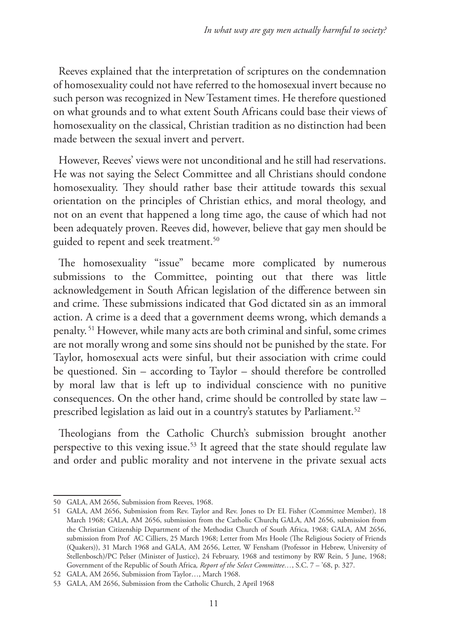Reeves explained that the interpretation of scriptures on the condemnation of homosexuality could not have referred to the homosexual invert because no such person was recognized in New Testament times. He therefore questioned on what grounds and to what extent South Africans could base their views of homosexuality on the classical, Christian tradition as no distinction had been made between the sexual invert and pervert.

However, Reeves' views were not unconditional and he still had reservations. He was not saying the Select Committee and all Christians should condone homosexuality. They should rather base their attitude towards this sexual orientation on the principles of Christian ethics, and moral theology, and not on an event that happened a long time ago, the cause of which had not been adequately proven. Reeves did, however, believe that gay men should be guided to repent and seek treatment.<sup>50</sup>

The homosexuality "issue" became more complicated by numerous submissions to the Committee, pointing out that there was little acknowledgement in South African legislation of the difference between sin and crime. These submissions indicated that God dictated sin as an immoral action. A crime is a deed that a government deems wrong, which demands a penalty. 51 However, while many acts are both criminal and sinful, some crimes are not morally wrong and some sins should not be punished by the state. For Taylor, homosexual acts were sinful, but their association with crime could be questioned. Sin – according to Taylor – should therefore be controlled by moral law that is left up to individual conscience with no punitive consequences. On the other hand, crime should be controlled by state law – prescribed legislation as laid out in a country's statutes by Parliament.<sup>52</sup>

Theologians from the Catholic Church's submission brought another perspective to this vexing issue.<sup>53</sup> It agreed that the state should regulate law and order and public morality and not intervene in the private sexual acts

<sup>50</sup> GALA, AM 2656, Submission from Reeves, 1968.

<sup>51</sup> GALA, AM 2656, Submission from Rev. Taylor and Rev. Jones to Dr EL Fisher (Committee Member), 18 March 1968; GALA, AM 2656, submission from the Catholic Church**;** GALA, AM 2656, submission from the Christian Citizenship Department of the Methodist Church of South Africa, 1968; GALA, AM 2656, submission from Prof AC Cilliers, 25 March 1968; Letter from Mrs Hoole (The Religious Society of Friends (Quakers)), 31 March 1968 and GALA, AM 2656, Letter, W Fensham (Professor in Hebrew, University of Stellenbosch)/PC Pelser (Minister of Justice), 24 February, 1968 and testimony by RW Rein, 5 June, 1968; Government of the Republic of South Africa*, Report of the Select Committee…*, S.C. 7 – '68, p. 327.

<sup>52</sup> GALA, AM 2656, Submission from Taylor…, March 1968.

<sup>53</sup> GALA, AM 2656, Submission from the Catholic Church, 2 April 1968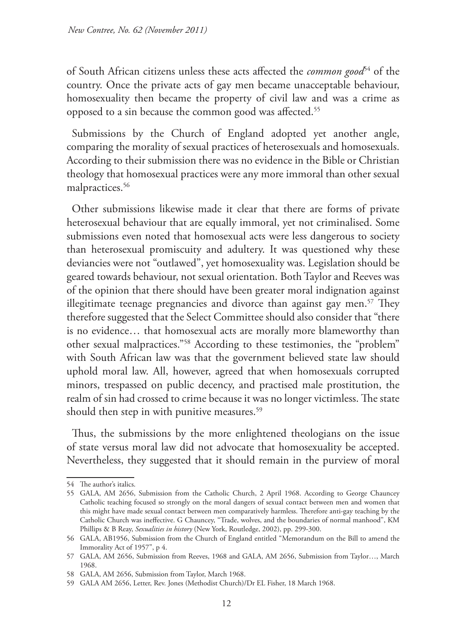of South African citizens unless these acts affected the *common good*<sup>54</sup> of the country. Once the private acts of gay men became unacceptable behaviour, homosexuality then became the property of civil law and was a crime as opposed to a sin because the common good was affected.55

Submissions by the Church of England adopted yet another angle, comparing the morality of sexual practices of heterosexuals and homosexuals. According to their submission there was no evidence in the Bible or Christian theology that homosexual practices were any more immoral than other sexual malpractices.<sup>56</sup>

Other submissions likewise made it clear that there are forms of private heterosexual behaviour that are equally immoral, yet not criminalised. Some submissions even noted that homosexual acts were less dangerous to society than heterosexual promiscuity and adultery. It was questioned why these deviancies were not "outlawed", yet homosexuality was. Legislation should be geared towards behaviour, not sexual orientation. Both Taylor and Reeves was of the opinion that there should have been greater moral indignation against illegitimate teenage pregnancies and divorce than against gay men.<sup>57</sup> They therefore suggested that the Select Committee should also consider that "there is no evidence… that homosexual acts are morally more blameworthy than other sexual malpractices."58 According to these testimonies, the "problem" with South African law was that the government believed state law should uphold moral law. All, however, agreed that when homosexuals corrupted minors, trespassed on public decency, and practised male prostitution, the realm of sin had crossed to crime because it was no longer victimless. The state should then step in with punitive measures.<sup>59</sup>

Thus, the submissions by the more enlightened theologians on the issue of state versus moral law did not advocate that homosexuality be accepted. Nevertheless, they suggested that it should remain in the purview of moral

<sup>54</sup> The author's italics.

<sup>55</sup> GALA, AM 2656, Submission from the Catholic Church, 2 April 1968. According to George Chauncey Catholic teaching focused so strongly on the moral dangers of sexual contact between men and women that this might have made sexual contact between men comparatively harmless. Therefore anti-gay teaching by the Catholic Church was ineffective. G Chauncey, "Trade, wolves, and the boundaries of normal manhood", KM Phillips & B Reay, *Sexualities in history* (New York, Routledge, 2002), pp. 299-300.

<sup>56</sup> GALA, AB1956, Submission from the Church of England entitled "Memorandum on the Bill to amend the Immorality Act of 1957", p 4.

<sup>57</sup> GALA, AM 2656, Submission from Reeves, 1968 and GALA, AM 2656, Submission from Taylor…, March 1968.

<sup>58</sup> GALA, AM 2656, Submission from Taylor, March 1968.

<sup>59</sup> GALA AM 2656, Letter, Rev. Jones (Methodist Church)/Dr EL Fisher, 18 March 1968.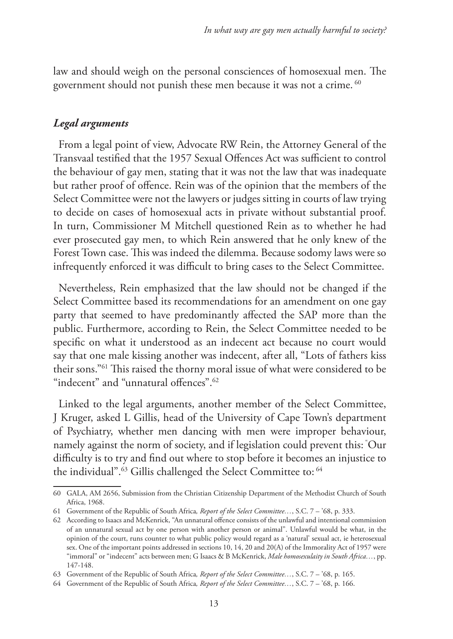law and should weigh on the personal consciences of homosexual men. The government should not punish these men because it was not a crime.<sup>60</sup>

### *Legal arguments*

From a legal point of view, Advocate RW Rein, the Attorney General of the Transvaal testified that the 1957 Sexual Offences Act was sufficient to control the behaviour of gay men, stating that it was not the law that was inadequate but rather proof of offence. Rein was of the opinion that the members of the Select Committee were not the lawyers or judges sitting in courts of law trying to decide on cases of homosexual acts in private without substantial proof. In turn, Commissioner M Mitchell questioned Rein as to whether he had ever prosecuted gay men, to which Rein answered that he only knew of the Forest Town case. This was indeed the dilemma. Because sodomy laws were so infrequently enforced it was difficult to bring cases to the Select Committee.

Nevertheless, Rein emphasized that the law should not be changed if the Select Committee based its recommendations for an amendment on one gay party that seemed to have predominantly affected the SAP more than the public. Furthermore, according to Rein, the Select Committee needed to be specific on what it understood as an indecent act because no court would say that one male kissing another was indecent, after all, "Lots of fathers kiss their sons."61 This raised the thorny moral issue of what were considered to be "indecent" and "unnatural offences".62

Linked to the legal arguments, another member of the Select Committee, J Kruger, asked L Gillis, head of the University of Cape Town's department of Psychiatry, whether men dancing with men were improper behaviour, namely against the norm of society, and if legislation could prevent this: "Our difficulty is to try and find out where to stop before it becomes an injustice to the individual".<sup>63</sup> Gillis challenged the Select Committee to: <sup>64</sup>

<sup>60</sup> GALA, AM 2656, Submission from the Christian Citizenship Department of the Methodist Church of South Africa, 1968.

<sup>61</sup> Government of the Republic of South Africa*, Report of the Select Committee…*, S.C. 7 – '68, p. 333.

<sup>62</sup> According to Isaacs and McKenrick, "An unnatural offence consists of the unlawful and intentional commission of an unnatural sexual act by one person with another person or animal". Unlawful would be what, in the opinion of the court, runs counter to what public policy would regard as a 'natural' sexual act, ie heterosexual sex. One of the important points addressed in sections 10, 14, 20 and 20(A) of the Immorality Act of 1957 were "immoral" or "indecent" acts between men; G Isaacs & B McKenrick, *Male homosexulaity in South Africa…*, pp. 147-148.

<sup>63</sup> Government of the Republic of South Africa*, Report of the Select Committee…*, S.C. 7 – '68, p. 165.

<sup>64</sup> Government of the Republic of South Africa*, Report of the Select Committee…*, S.C. 7 – '68, p. 166.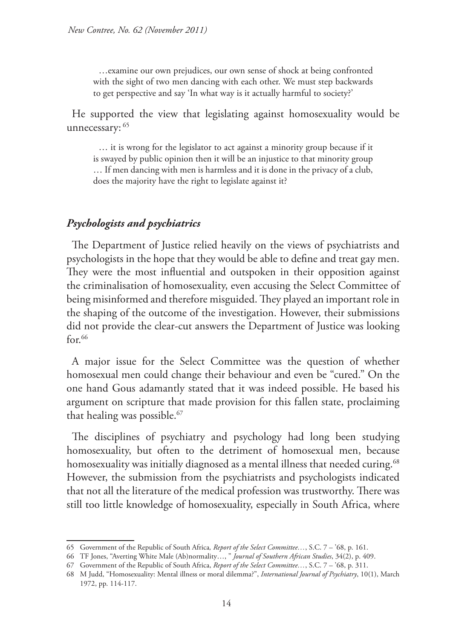…examine our own prejudices, our own sense of shock at being confronted with the sight of two men dancing with each other. We must step backwards to get perspective and say 'In what way is it actually harmful to society?'

He supported the view that legislating against homosexuality would be unnecessary: 65

… it is wrong for the legislator to act against a minority group because if it is swayed by public opinion then it will be an injustice to that minority group … If men dancing with men is harmless and it is done in the privacy of a club, does the majority have the right to legislate against it?

#### *Psychologists and psychiatrics*

The Department of Justice relied heavily on the views of psychiatrists and psychologists in the hope that they would be able to define and treat gay men. They were the most influential and outspoken in their opposition against the criminalisation of homosexuality, even accusing the Select Committee of being misinformed and therefore misguided. They played an important role in the shaping of the outcome of the investigation. However, their submissions did not provide the clear-cut answers the Department of Justice was looking  $for.66$ 

A major issue for the Select Committee was the question of whether homosexual men could change their behaviour and even be "cured." On the one hand Gous adamantly stated that it was indeed possible. He based his argument on scripture that made provision for this fallen state, proclaiming that healing was possible.<sup>67</sup>

The disciplines of psychiatry and psychology had long been studying homosexuality, but often to the detriment of homosexual men, because homosexuality was initially diagnosed as a mental illness that needed curing.<sup>68</sup> However, the submission from the psychiatrists and psychologists indicated that not all the literature of the medical profession was trustworthy. There was still too little knowledge of homosexuality, especially in South Africa, where

<sup>65</sup> Government of the Republic of South Africa*, Report of the Select Committee…*, S.C. 7 – '68, p. 161.

<sup>66</sup> TF Jones, "Averting White Male (Ab)normality…, " *Journal of Southern African Studies*, 34(2), p. 409.

<sup>67</sup> Government of the Republic of South Africa, *Report of the Select Committee…*, S.C. 7 – '68, p. 311.

<sup>68</sup> M Judd, "Homosexuality: Mental illness or moral dilemma?", *International Journal of Psychiatry*, 10(1), March 1972, pp. 114-117.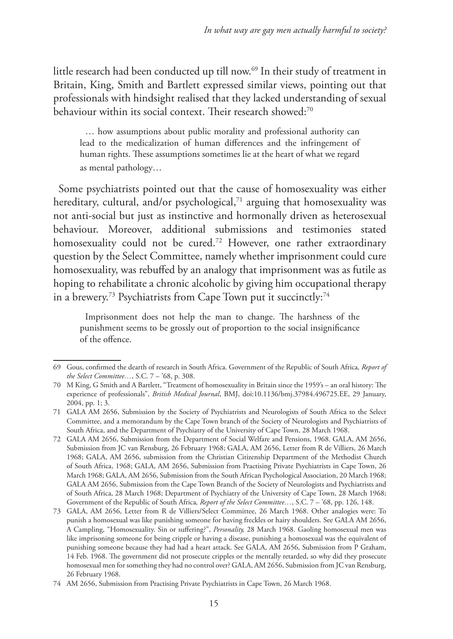little research had been conducted up till now.69 In their study of treatment in Britain, King, Smith and Bartlett expressed similar views, pointing out that professionals with hindsight realised that they lacked understanding of sexual behaviour within its social context. Their research showed:70

… how assumptions about public morality and professional authority can lead to the medicalization of human differences and the infringement of human rights. These assumptions sometimes lie at the heart of what we regard as mental pathology…

Some psychiatrists pointed out that the cause of homosexuality was either hereditary, cultural, and/or psychological, $71$  arguing that homosexuality was not anti-social but just as instinctive and hormonally driven as heterosexual behaviour. Moreover, additional submissions and testimonies stated homosexuality could not be cured.<sup>72</sup> However, one rather extraordinary question by the Select Committee, namely whether imprisonment could cure homosexuality, was rebuffed by an analogy that imprisonment was as futile as hoping to rehabilitate a chronic alcoholic by giving him occupational therapy in a brewery.<sup>73</sup> Psychiatrists from Cape Town put it succinctly:<sup>74</sup>

Imprisonment does not help the man to change. The harshness of the punishment seems to be grossly out of proportion to the social insignificance of the offence.

<sup>69</sup> Gous, confirmed the dearth of research in South Africa. Government of the Republic of South Africa*, Report of the Select Committee…*, S.C. 7 – '68, p. 308.

<sup>70</sup> M King, G Smith and A Bartlett, "Treatment of homosexuality in Britain since the 1959's – an oral history: The experience of professionals", *British Medical Journal*, BMJ, doi:10.1136/bmj.37984.496725.EE, 29 January, 2004, pp. 1; 3.

<sup>71</sup> GALA AM 2656, Submission by the Society of Psychiatrists and Neurologists of South Africa to the Select Committee, and a memorandum by the Cape Town branch of the Society of Neurologists and Psychiatrists of South Africa, and the Department of Psychiatry of the University of Cape Town, 28 March 1968.

<sup>72</sup> GALA AM 2656, Submission from the Department of Social Welfare and Pensions, 1968. GALA, AM 2656, Submission from JC van Rensburg, 26 February 1968; GALA, AM 2656, Letter from R de Villiers, 26 March 1968; GALA, AM 2656, submission from the Christian Citizenship Department of the Methodist Church of South Africa, 1968; GALA, AM 2656, Submission from Practising Private Psychiatrists in Cape Town, 26 March 1968; GALA, AM 2656, Submission from the South African Psychological Association, 20 March 1968; GALA AM 2656, Submission from the Cape Town Branch of the Society of Neurologists and Psychiatrists and of South Africa, 28 March 1968; Department of Psychiatry of the University of Cape Town, 28 March 1968; Government of the Republic of South Africa*, Report of the Select Committee…*, S.C. 7 – '68, pp. 126, 148.

<sup>73</sup> GALA, AM 2656, Letter from R de Villiers/Select Committee, 26 March 1968. Other analogies were: To punish a homosexual was like punishing someone for having freckles or hairy shoulders. See GALA AM 2656, A Campling, "Homosexuality. Sin or suffering?", *Personality,* 28 March 1968. Gaoling homosexual men was like imprisoning someone for being cripple or having a disease, punishing a homosexual was the equivalent of punishing someone because they had had a heart attack. See GALA, AM 2656, Submission from P Graham, 14 Feb. 1968. The government did not prosecute cripples or the mentally retarded, so why did they prosecute homosexual men for something they had no control over? GALA, AM 2656, Submission from JC van Rensburg, 26 February 1968.

<sup>74</sup> AM 2656, Submission from Practising Private Psychiatrists in Cape Town, 26 March 1968.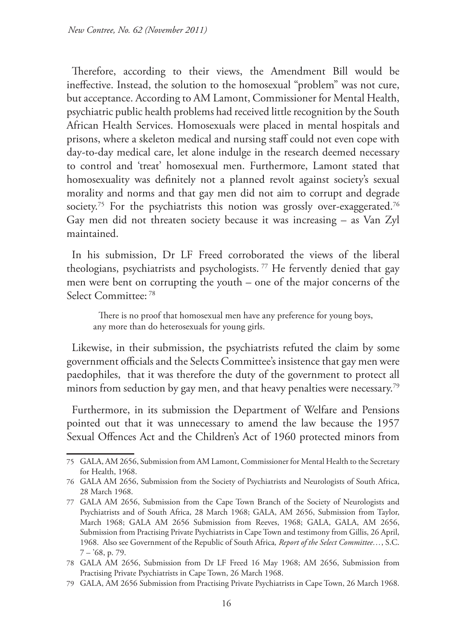Therefore, according to their views, the Amendment Bill would be ineffective. Instead, the solution to the homosexual "problem" was not cure, but acceptance. According to AM Lamont, Commissioner for Mental Health, psychiatric public health problems had received little recognition by the South African Health Services. Homosexuals were placed in mental hospitals and prisons, where a skeleton medical and nursing staff could not even cope with day-to-day medical care, let alone indulge in the research deemed necessary to control and 'treat' homosexual men. Furthermore, Lamont stated that homosexuality was definitely not a planned revolt against society's sexual morality and norms and that gay men did not aim to corrupt and degrade society.<sup>75</sup> For the psychiatrists this notion was grossly over-exaggerated.<sup>76</sup> Gay men did not threaten society because it was increasing – as Van Zyl maintained.

In his submission, Dr LF Freed corroborated the views of the liberal theologians, psychiatrists and psychologists.<sup>77</sup> He fervently denied that gay men were bent on corrupting the youth – one of the major concerns of the Select Committee: 78

There is no proof that homosexual men have any preference for young boys, any more than do heterosexuals for young girls.

Likewise, in their submission, the psychiatrists refuted the claim by some government officials and the Selects Committee's insistence that gay men were paedophiles, that it was therefore the duty of the government to protect all minors from seduction by gay men, and that heavy penalties were necessary.<sup>79</sup>

Furthermore, in its submission the Department of Welfare and Pensions pointed out that it was unnecessary to amend the law because the 1957 Sexual Offences Act and the Children's Act of 1960 protected minors from

<sup>75</sup> GALA, AM 2656, Submission from AM Lamont, Commissioner for Mental Health to the Secretary for Health, 1968.

<sup>76</sup> GALA AM 2656, Submission from the Society of Psychiatrists and Neurologists of South Africa, 28 March 1968.

<sup>77</sup> GALA AM 2656, Submission from the Cape Town Branch of the Society of Neurologists and Psychiatrists and of South Africa, 28 March 1968; GALA, AM 2656, Submission from Taylor, March 1968; GALA AM 2656 Submission from Reeves, 1968; GALA, GALA, AM 2656, Submission from Practising Private Psychiatrists in Cape Town and testimony from Gillis, 26 April, 1968. Also see Government of the Republic of South Africa*, Report of the Select Committee…*, S.C.  $7 - 68$ , p. 79.

<sup>78</sup> GALA AM 2656, Submission from Dr LF Freed 16 May 1968; AM 2656, Submission from Practising Private Psychiatrists in Cape Town, 26 March 1968.

<sup>79</sup> GALA, AM 2656 Submission from Practising Private Psychiatrists in Cape Town, 26 March 1968.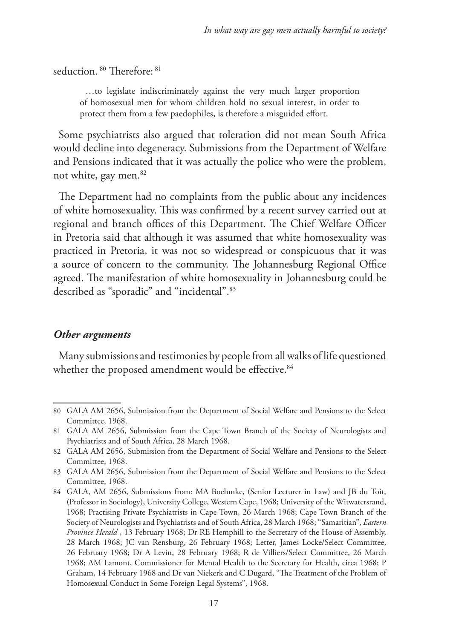seduction. 80 Therefore: 81

…to legislate indiscriminately against the very much larger proportion of homosexual men for whom children hold no sexual interest, in order to protect them from a few paedophiles, is therefore a misguided effort.

Some psychiatrists also argued that toleration did not mean South Africa would decline into degeneracy. Submissions from the Department of Welfare and Pensions indicated that it was actually the police who were the problem, not white, gay men.<sup>82</sup>

The Department had no complaints from the public about any incidences of white homosexuality. This was confirmed by a recent survey carried out at regional and branch offices of this Department. The Chief Welfare Officer in Pretoria said that although it was assumed that white homosexuality was practiced in Pretoria, it was not so widespread or conspicuous that it was a source of concern to the community. The Johannesburg Regional Office agreed. The manifestation of white homosexuality in Johannesburg could be described as "sporadic" and "incidental".83

#### *Other arguments*

Many submissions and testimonies by people from all walks of life questioned whether the proposed amendment would be effective.<sup>84</sup>

<sup>80</sup> GALA AM 2656, Submission from the Department of Social Welfare and Pensions to the Select Committee, 1968.

<sup>81</sup> GALA AM 2656, Submission from the Cape Town Branch of the Society of Neurologists and Psychiatrists and of South Africa, 28 March 1968.

<sup>82</sup> GALA AM 2656, Submission from the Department of Social Welfare and Pensions to the Select Committee, 1968.

<sup>83</sup> GALA AM 2656, Submission from the Department of Social Welfare and Pensions to the Select Committee, 1968.

<sup>84</sup> GALA, AM 2656, Submissions from: MA Boehmke, (Senior Lecturer in Law) and JB du Toit, (Professor in Sociology), University College, Western Cape, 1968; University of the Witwatersrand, 1968; Practising Private Psychiatrists in Cape Town, 26 March 1968; Cape Town Branch of the Society of Neurologists and Psychiatrists and of South Africa, 28 March 1968; "Samaritian", *Eastern Province Herald* , 13 February 1968; Dr RE Hemphill to the Secretary of the House of Assembly, 28 March 1968; JC van Rensburg, 26 February 1968; Letter, James Locke/Select Committee, 26 February 1968; Dr A Levin, 28 February 1968; R de Villiers/Select Committee, 26 March 1968; AM Lamont, Commissioner for Mental Health to the Secretary for Health, circa 1968; P Graham, 14 February 1968 and Dr van Niekerk and C Dugard, "The Treatment of the Problem of Homosexual Conduct in Some Foreign Legal Systems", 1968.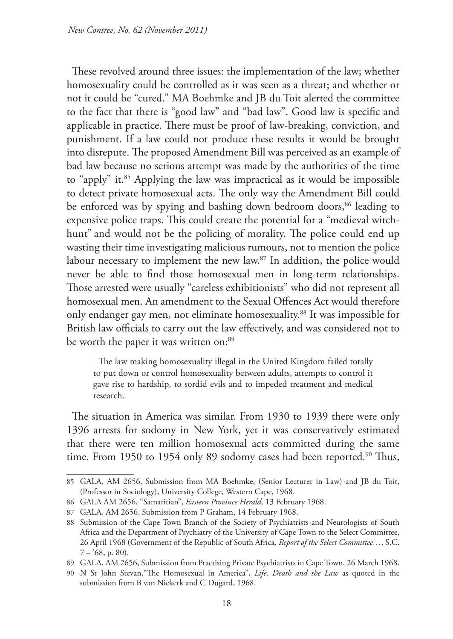These revolved around three issues: the implementation of the law; whether homosexuality could be controlled as it was seen as a threat; and whether or not it could be "cured." MA Boehmke and JB du Toit alerted the committee to the fact that there is "good law" and "bad law". Good law is specific and applicable in practice. There must be proof of law-breaking, conviction, and punishment. If a law could not produce these results it would be brought into disrepute. The proposed Amendment Bill was perceived as an example of bad law because no serious attempt was made by the authorities of the time to "apply" it.<sup>85</sup> Applying the law was impractical as it would be impossible to detect private homosexual acts. The only way the Amendment Bill could be enforced was by spying and bashing down bedroom doors,<sup>86</sup> leading to expensive police traps. This could create the potential for a "medieval witchhunt" and would not be the policing of morality. The police could end up wasting their time investigating malicious rumours, not to mention the police labour necessary to implement the new law.<sup>87</sup> In addition, the police would never be able to find those homosexual men in long-term relationships. Those arrested were usually "careless exhibitionists" who did not represent all homosexual men. An amendment to the Sexual Offences Act would therefore only endanger gay men, not eliminate homosexuality.<sup>88</sup> It was impossible for British law officials to carry out the law effectively, and was considered not to be worth the paper it was written on:<sup>89</sup>

The law making homosexuality illegal in the United Kingdom failed totally to put down or control homosexuality between adults, attempts to control it gave rise to hardship, to sordid evils and to impeded treatment and medical research.

The situation in America was similar. From 1930 to 1939 there were only 1396 arrests for sodomy in New York, yet it was conservatively estimated that there were ten million homosexual acts committed during the same time. From 1950 to 1954 only 89 sodomy cases had been reported.<sup>90</sup> Thus,

<sup>85</sup> GALA, AM 2656, Submission from MA Boehmke, (Senior Lecturer in Law) and JB du Toit, (Professor in Sociology), University College, Western Cape, 1968.

<sup>86</sup> GALA AM 2656, "Samaritian", *Eastern Province Herald*, 13 February 1968.

<sup>87</sup> GALA, AM 2656, Submission from P Graham, 14 February 1968.

<sup>88</sup> Submission of the Cape Town Branch of the Society of Psychiatrists and Neurologists of South Africa and the Department of Psychiatry of the University of Cape Town to the Select Committee, 26 April 1968 (Government of the Republic of South Africa*, Report of the Select Committee…*, S.C.  $7 - 68$ , p. 80).

<sup>89</sup> GALA, AM 2656, Submission from Practising Private Psychiatrists in Cape Town, 26 March 1968.

<sup>90</sup> N St John Stevan,"The Homosexual in America", *Life, Death and the Law* as quoted in the submission from B van Niekerk and C Dugard, 1968.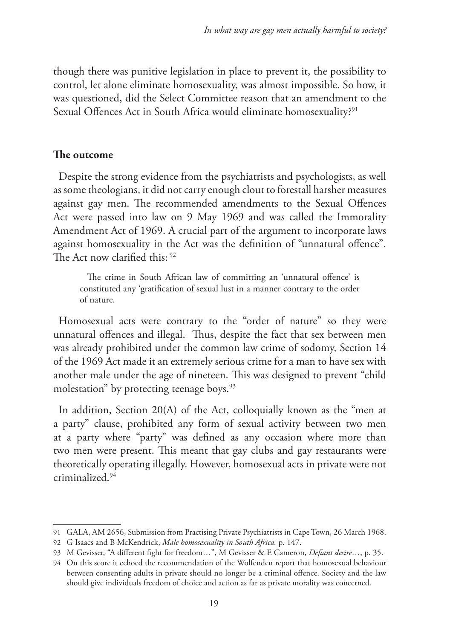though there was punitive legislation in place to prevent it, the possibility to control, let alone eliminate homosexuality, was almost impossible. So how, it was questioned, did the Select Committee reason that an amendment to the Sexual Offences Act in South Africa would eliminate homosexuality?<sup>91</sup>

# **The outcome**

Despite the strong evidence from the psychiatrists and psychologists, as well as some theologians, it did not carry enough clout to forestall harsher measures against gay men. The recommended amendments to the Sexual Offences Act were passed into law on 9 May 1969 and was called the Immorality Amendment Act of 1969. A crucial part of the argument to incorporate laws against homosexuality in the Act was the definition of "unnatural offence". The Act now clarified this: 92

The crime in South African law of committing an 'unnatural offence' is constituted any 'gratification of sexual lust in a manner contrary to the order of nature.

Homosexual acts were contrary to the "order of nature" so they were unnatural offences and illegal. Thus, despite the fact that sex between men was already prohibited under the common law crime of sodomy, Section 14 of the 1969 Act made it an extremely serious crime for a man to have sex with another male under the age of nineteen. This was designed to prevent "child molestation" by protecting teenage boys.<sup>93</sup>

In addition, Section 20(A) of the Act, colloquially known as the "men at a party" clause, prohibited any form of sexual activity between two men at a party where "party" was defined as any occasion where more than two men were present. This meant that gay clubs and gay restaurants were theoretically operating illegally. However, homosexual acts in private were not criminalized.94

<sup>91</sup> GALA, AM 2656, Submission from Practising Private Psychiatrists in Cape Town, 26 March 1968.

<sup>92</sup> G Isaacs and B McKendrick, *Male homosexuality in South Africa.* p. 147.

<sup>93</sup> M Gevisser, "A different fight for freedom…", M Gevisser & E Cameron, *Defiant desire*…, p. 35.

<sup>94</sup> On this score it echoed the recommendation of the Wolfenden report that homosexual behaviour between consenting adults in private should no longer be a criminal offence. Society and the law should give individuals freedom of choice and action as far as private morality was concerned.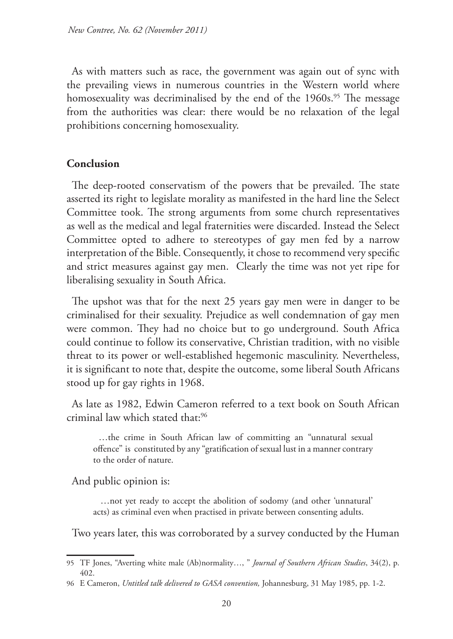As with matters such as race, the government was again out of sync with the prevailing views in numerous countries in the Western world where homosexuality was decriminalised by the end of the 1960s.<sup>95</sup> The message from the authorities was clear: there would be no relaxation of the legal prohibitions concerning homosexuality.

#### **Conclusion**

The deep-rooted conservatism of the powers that be prevailed. The state asserted its right to legislate morality as manifested in the hard line the Select Committee took. The strong arguments from some church representatives as well as the medical and legal fraternities were discarded. Instead the Select Committee opted to adhere to stereotypes of gay men fed by a narrow interpretation of the Bible. Consequently, it chose to recommend very specific and strict measures against gay men. Clearly the time was not yet ripe for liberalising sexuality in South Africa.

The upshot was that for the next 25 years gay men were in danger to be criminalised for their sexuality. Prejudice as well condemnation of gay men were common. They had no choice but to go underground. South Africa could continue to follow its conservative, Christian tradition, with no visible threat to its power or well-established hegemonic masculinity. Nevertheless, it is significant to note that, despite the outcome, some liberal South Africans stood up for gay rights in 1968.

As late as 1982, Edwin Cameron referred to a text book on South African criminal law which stated that:96

…the crime in South African law of committing an "unnatural sexual offence" is constituted by any "gratification of sexual lust in a manner contrary to the order of nature.

And public opinion is:

…not yet ready to accept the abolition of sodomy (and other 'unnatural' acts) as criminal even when practised in private between consenting adults.

Two years later, this was corroborated by a survey conducted by the Human

<sup>95</sup> TF Jones, "Averting white male (Ab)normality…, " *Journal of Southern African Studies*, 34(2), p. 402.

<sup>96</sup> E Cameron, *Untitled talk delivered to GASA convention,* Johannesburg, 31 May 1985, pp. 1-2.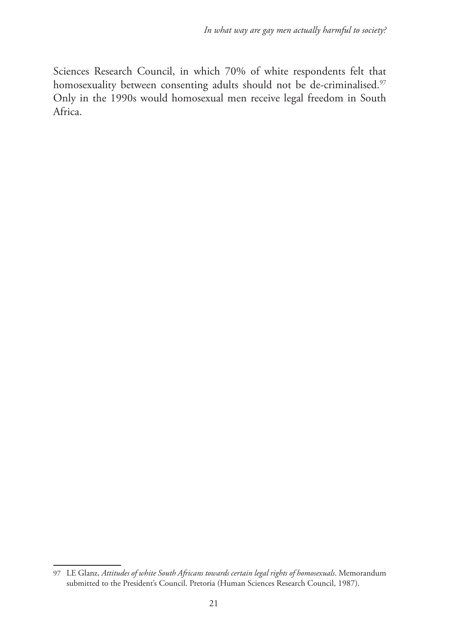Sciences Research Council, in which 70% of white respondents felt that homosexuality between consenting adults should not be de-criminalised.<sup>97</sup> Only in the 1990s would homosexual men receive legal freedom in South Africa.

<sup>97</sup> LE Glanz, *Attitudes of white South Africans towards certain legal rights of homosexuals*. Memorandum submitted to the President's Council. Pretoria (Human Sciences Research Council, 1987).